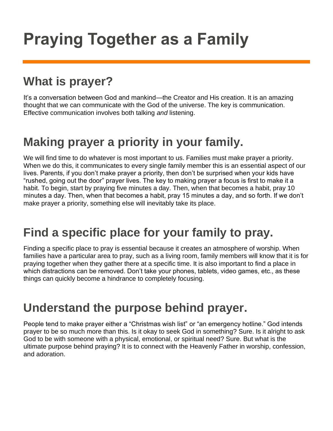# **Praying Together as a Family**

## **What is prayer?**

It's a conversation between God and mankind—the Creator and His creation. It is an amazing thought that we can communicate with the God of the universe. The key is communication. Effective communication involves both talking *and* listening.

### **Making prayer a priority in your family.**

We will find time to do whatever is most important to us. Families must make prayer a priority. When we do this, it communicates to every single family member this is an essential aspect of our lives. Parents, if you don't make prayer a priority, then don't be surprised when your kids have "rushed, going out the door" prayer lives. The key to making prayer a focus is first to make it a habit. To begin, start by praying five minutes a day. Then, when that becomes a habit, pray 10 minutes a day. Then, when that becomes a habit, pray 15 minutes a day, and so forth. If we don't make prayer a priority, something else will inevitably take its place.

### **Find a specific place for your family to pray.**

Finding a specific place to pray is essential because it creates an atmosphere of worship. When families have a particular area to pray, such as a living room, family members will know that it is for praying together when they gather there at a specific time. It is also important to find a place in which distractions can be removed. Don't take your phones, tablets, video games, etc., as these things can quickly become a hindrance to completely focusing.

### **Understand the purpose behind prayer.**

People tend to make prayer either a "Christmas wish list" or "an emergency hotline." God intends prayer to be so much more than this. Is it okay to seek God in something? Sure. Is it alright to ask God to be with someone with a physical, emotional, or spiritual need? Sure. But what is the ultimate purpose behind praying? It is to connect with the Heavenly Father in worship, confession, and adoration.